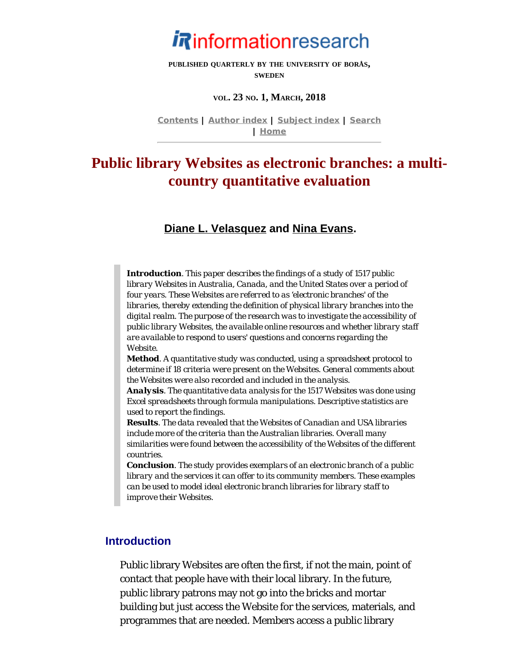

**PUBLISHED QUARTERLY BY THE UNIVERSITY OF BORÅS, SWEDEN**

#### **VOL. 23 NO. 1, MARCH, 2018**

**[Contents](http://www.informationr.net/ir/23-1/infres231.html) | [Author index](http://www.informationr.net/ir/iraindex.html) | [Subject index](http://www.informationr.net/ir/irsindex.html) | [Search](http://www.informationr.net/ir/search.html) | [Home](http://www.informationr.net/ir/index.html)**

# **Public library Websites as electronic branches: a multicountry quantitative evaluation**

#### **[Diane L. Velasquez](#page-19-0) and [Nina Evans](#page-19-0).**

*Introduction. This paper describes the findings of a study of 1517 public library Websites in Australia, Canada, and the United States over a period of four years. These Websites are referred to as 'electronic branches' of the libraries, thereby extending the definition of physical library branches into the digital realm. The purpose of the research was to investigate the accessibility of public library Websites, the available online resources and whether library staff are available to respond to users' questions and concerns regarding the Website.*

*Method. A quantitative study was conducted, using a spreadsheet protocol to determine if 18 criteria were present on the Websites. General comments about the Websites were also recorded and included in the analysis.*

*Analysis. The quantitative data analysis for the 1517 Websites was done using Excel spreadsheets through formula manipulations. Descriptive statistics are used to report the findings.* 

*Results. The data revealed that the Websites of Canadian and USA libraries include more of the criteria than the Australian libraries. Overall many similarities were found between the accessibility of the Websites of the different countries.*

*Conclusion. The study provides exemplars of an electronic branch of a public library and the services it can offer to its community members. These examples can be used to model ideal electronic branch libraries for library staff to improve their Websites.*

### **Introduction**

Public library Websites are often the first, if not the main, point of contact that people have with their local library. In the future, public library patrons may not go into the bricks and mortar building but just access the Website for the services, materials, and programmes that are needed. Members access a public library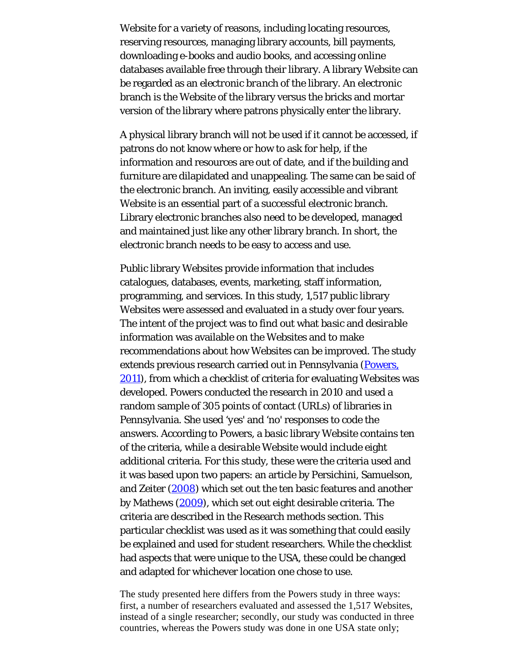Website for a variety of reasons, including locating resources, reserving resources, managing library accounts, bill payments, downloading e-books and audio books, and accessing online databases available free through their library. A library Website can be regarded as an *electronic branch* of the library. An electronic branch is the Website of the library versus the bricks and mortar version of the library where patrons physically enter the library.

A physical library branch will not be used if it cannot be accessed, if patrons do not know where or how to ask for help, if the information and resources are out of date, and if the building and furniture are dilapidated and unappealing. The same can be said of the electronic branch. An inviting, easily accessible and vibrant Website is an essential part of a successful electronic branch. Library electronic branches also need to be developed, managed and maintained just like any other library branch. In short, the electronic branch needs to be easy to access and use.

Public library Websites provide information that includes catalogues, databases, events, marketing, staff information, programming, and services. In this study, 1,517 public library Websites were assessed and evaluated in a study over four years. The intent of the project was to find out what *basic* and *desirable* information was available on the Websites and to make recommendations about how Websites can be improved. The study extends previous research carried out in Pennsylvania ([Powers,](#page-22-0) [2011](#page-22-0)), from which a checklist of criteria for evaluating Websites was developed. Powers conducted the research in 2010 and used a random sample of 305 points of contact (URLs) of libraries in Pennsylvania. She used '*yes*' and '*no*' responses to code the answers. According to Powers, a *basic* library Website contains ten of the criteria, while a *desirable* Website would include eight additional criteria. For this study, these were the criteria used and it was based upon two papers: an article by Persichini, Samuelson, and Zeiter ([2008](#page-22-0)) which set out the ten basic features and another by Mathews [\(2009](#page-22-0)), which set out eight desirable criteria. The criteria are described in the Research methods section. This particular checklist was used as it was something that could easily be explained and used for student researchers. While the checklist had aspects that were unique to the USA, these could be changed and adapted for whichever location one chose to use.

The study presented here differs from the Powers study in three ways: first, a number of researchers evaluated and assessed the 1,517 Websites, instead of a single researcher; secondly, our study was conducted in three countries, whereas the Powers study was done in one USA state only;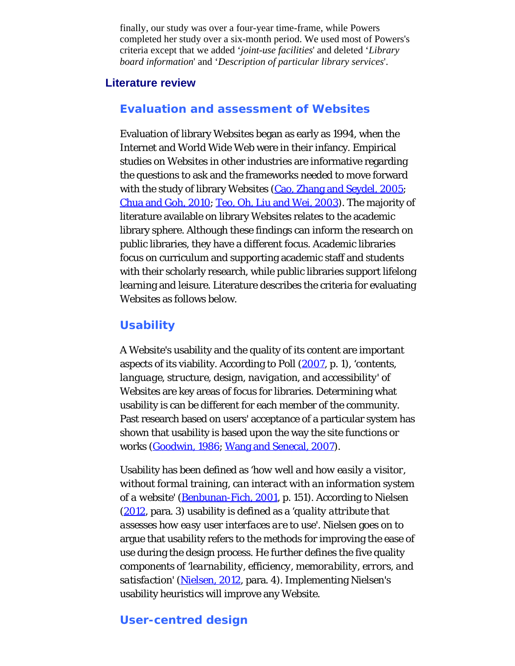finally, our study was over a four-year time-frame, while Powers completed her study over a six-month period. We used most of Powers's criteria except that we added '*joint-use facilities*' and deleted '*Library board information*' and '*Description of particular library services*'.

### **Literature review**

#### **Evaluation and assessment of Websites**

Evaluation of library Websites began as early as 1994, when the Internet and World Wide Web were in their infancy. Empirical studies on Websites in other industries are informative regarding the questions to ask and the frameworks needed to move forward with the study of library Websites [\(Cao, Zhang and Seydel, 2005](#page-22-0); [Chua and Goh, 2010](#page-22-0); [Teo, Oh, Liu and Wei, 2003](#page-22-1)). The majority of literature available on library Websites relates to the academic library sphere. Although these findings can inform the research on public libraries, they have a different focus. Academic libraries focus on curriculum and supporting academic staff and students with their scholarly research, while public libraries support lifelong learning and leisure. Literature describes the criteria for evaluating Websites as follows below.

#### **Usability**

A Website's usability and the quality of its content are important aspects of its viability. According to Poll [\(2007](#page-22-0), p. 1), '*contents, language, structure, design, navigation, and accessibility*' of Websites are key areas of focus for libraries. Determining what usability is can be different for each member of the community. Past research based on users' acceptance of a particular system has shown that usability is based upon the way the site functions or works [\(Goodwin, 1986](#page-22-0); [Wang and Senecal, 2007](#page-22-2)).

Usability has been defined as '*how well and how easily a visitor, without formal training, can interact with an information system of a website*' [\(Benbunan-Fich, 2001](#page-22-0), p. 151). According to Nielsen ([2012](#page-22-0), para. 3) usability is defined as a '*quality attribute that assesses how easy user interfaces are to use*'. Nielsen goes on to argue that usability refers to the methods for improving the ease of use during the design process. He further defines the five quality components of '*learnability, efficiency, memorability, errors, and satisfaction*' [\(Nielsen, 2012](#page-22-0), para. 4). Implementing Nielsen's usability heuristics will improve any Website.

#### **User-centred design**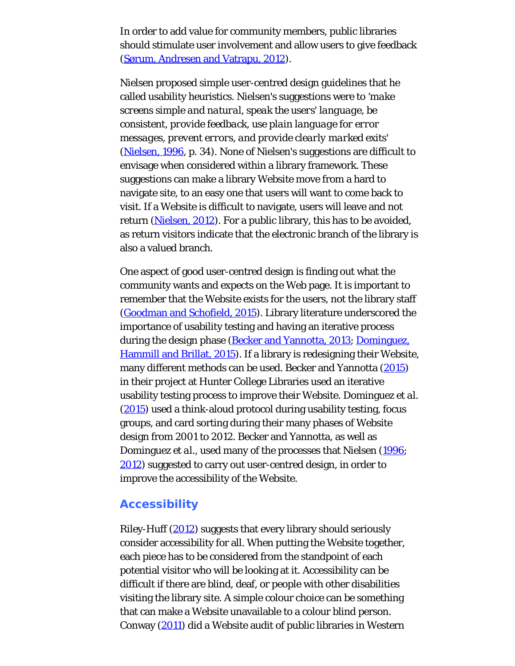In order to add value for community members, public libraries should stimulate user involvement and allow users to give feedback ([Sørum, Andresen and Vatrapu, 2012](#page-22-0)).

Nielsen proposed simple user-centred design guidelines that he called usability heuristics. Nielsen's suggestions were to '*make screens simple and natural, speak the users' language, be consistent, provide feedback, use plain language for error messages, prevent errors, and provide clearly marked exits*' ([Nielsen, 1996](#page-22-0), p. 34). None of Nielsen's suggestions are difficult to envisage when considered within a library framework. These suggestions can make a library Website move from a hard to navigate site, to an easy one that users will want to come back to visit. If a Website is difficult to navigate, users will leave and not return [\(Nielsen, 2012](#page-22-0)). For a public library, this has to be avoided, as return visitors indicate that the electronic branch of the library is also a valued branch.

One aspect of good user-centred design is finding out what the community wants and expects on the Web page. It is important to remember that the Website exists for the users, not the library staff ([Goodman and Schofield, 2015](#page-22-0)). Library literature underscored the importance of usability testing and having an iterative process during the design phase [\(Becker and Yannotta, 2013](#page-22-0); [Dominguez,](#page-22-0) [Hammill and Brillat, 2015](#page-22-0)). If a library is redesigning their Website, many different methods can be used. Becker and Yannotta [\(2015](#page-22-0)) in their project at Hunter College Libraries used an iterative usability testing process to improve their Website. Dominguez *et al.* ([2015](#page-22-0)) used a think-aloud protocol during usability testing, focus groups, and card sorting during their many phases of Website design from 2001 to 2012. Becker and Yannotta, as well as Dominguez *et al.*, used many of the processes that Nielsen [\(1996](#page-22-0); [2012](#page-22-0)) suggested to carry out user-centred design, in order to improve the accessibility of the Website.

### **Accessibility**

Riley-Huff [\(2012](#page-22-0)) suggests that every library should seriously consider accessibility for all. When putting the Website together, each piece has to be considered from the standpoint of each potential visitor who will be looking at it. Accessibility can be difficult if there are blind, deaf, or people with other disabilities visiting the library site. A simple colour choice can be something that can make a Website unavailable to a colour blind person. Conway [\(2011](#page-22-0)) did a Website audit of public libraries in Western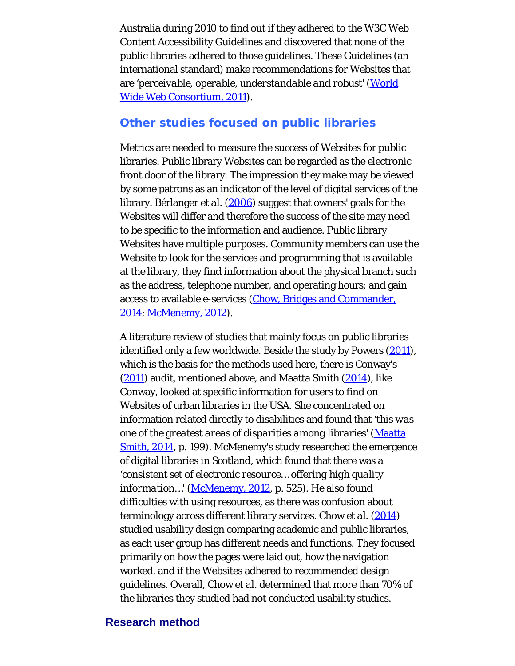Australia during 2010 to find out if they adhered to the W3C Web Content Accessibility Guidelines and discovered that none of the public libraries adhered to those guidelines. These Guidelines (an international standard) make recommendations for Websites that are '*perceivable, operable, understandable and robust*' [\(World](#page-22-3) [Wide Web Consortium, 2011](#page-22-3)).

#### **Other studies focused on public libraries**

Metrics are needed to measure the success of Websites for public libraries. Public library Websites can be regarded as the electronic front door of the library. The impression they make may be viewed by some patrons as an indicator of the level of digital services of the library. Bérlanger *et al.* [\(2006](#page-22-0)) suggest that owners' goals for the Websites will differ and therefore the success of the site may need to be specific to the information and audience. Public library Websites have multiple purposes. Community members can use the Website to look for the services and programming that is available at the library, they find information about the physical branch such as the address, telephone number, and operating hours; and gain access to available e-services [\(Chow, Bridges and Commander,](#page-22-0) [2014](#page-22-0); [McMenemy, 2012](#page-22-0)).

A literature review of studies that mainly focus on public libraries identified only a few worldwide. Beside the study by Powers [\(2011](#page-22-0)), which is the basis for the methods used here, there is Conway's ([2011](#page-22-0)) audit, mentioned above, and Maatta Smith [\(2014](#page-22-0)), like Conway, looked at specific information for users to find on Websites of urban libraries in the USA. She concentrated on information related directly to disabilities and found that '*this was one of the greatest areas of disparities among libraries*' [\(Maatta](#page-22-0) [Smith, 2014](#page-22-0), p. 199). McMenemy's study researched the emergence of digital libraries in Scotland, which found that there was a '*consistent set of electronic resource… offering high quality* information...' ([McMenemy, 2012,](#page-22-0) p. 525). He also found difficulties with using resources, as there was confusion about terminology across different library services. Chow *et al.* [\(2014](#page-22-0)) studied usability design comparing academic and public libraries, as each user group has different needs and functions. They focused primarily on how the pages were laid out, how the navigation worked, and if the Websites adhered to recommended design guidelines. Overall, Chow *et al.* determined that more than 70% of the libraries they studied had not conducted usability studies.

#### **Research method**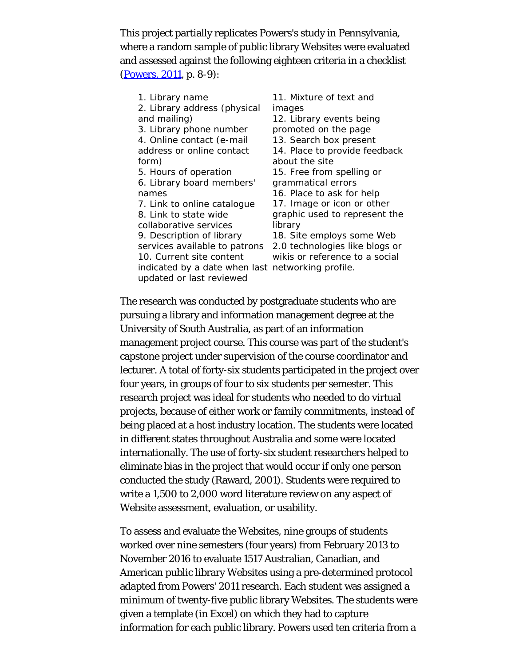This project partially replicates Powers's study in Pennsylvania, where a random sample of public library Websites were evaluated and assessed against the following eighteen criteria in a checklist ([Powers, 2011](#page-22-0), p. 8-9):

1. Library name 2. Library address (physical and mailing) 3. Library phone number 4. Online contact (e-mail address or online contact form) 5. Hours of operation 6. Library board members' names 7. Link to online catalogue 8. Link to state wide collaborative services 9. Description of library services available to patrons 2.0 technologies like blogs or 10. Current site content indicated by a date when last networking profile. updated or last reviewed 11. Mixture of text and images about the site library

12. Library events being promoted on the page 13. Search box present 14. Place to provide feedback 15. Free from spelling or grammatical errors 16. Place to ask for help 17. Image or icon or other graphic used to represent the 18. Site employs some Web wikis or reference to a social

The research was conducted by postgraduate students who are pursuing a library and information management degree at the University of South Australia, as part of an information management project course. This course was part of the student's capstone project under supervision of the course coordinator and lecturer. A total of forty-six students participated in the project over four years, in groups of four to six students per semester. This research project was ideal for students who needed to do virtual projects, because of either work or family commitments, instead of being placed at a host industry location. The students were located in different states throughout Australia and some were located internationally. The use of forty-six student researchers helped to eliminate bias in the project that would occur if only one person conducted the study (Raward, 2001). Students were required to write a 1,500 to 2,000 word literature review on any aspect of Website assessment, evaluation, or usability.

To assess and evaluate the Websites, nine groups of students worked over nine semesters (four years) from February 2013 to November 2016 to evaluate 1517 Australian, Canadian, and American public library Websites using a pre-determined protocol adapted from Powers' 2011 research. Each student was assigned a minimum of twenty-five public library Websites. The students were given a template (in Excel) on which they had to capture information for each public library. Powers used ten criteria from a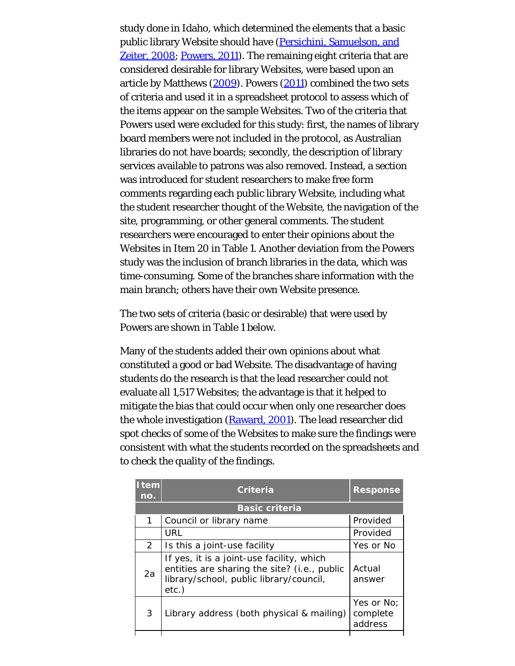study done in Idaho, which determined the elements that a basic public library Website should have ([Persichini, Samuelson, and](#page-22-0) [Zeiter, 2008](#page-22-0); [Powers, 2011](#page-22-0)). The remaining eight criteria that are considered desirable for library Websites, were based upon an article by Matthews [\(2009](#page-22-0)). Powers [\(2011](#page-22-0)) combined the two sets of criteria and used it in a spreadsheet protocol to assess which of the items appear on the sample Websites. Two of the criteria that Powers used were excluded for this study: first, the names of library board members were not included in the protocol, as Australian libraries do not have boards; secondly, the description of library services available to patrons was also removed. Instead, a section was introduced for student researchers to make free form comments regarding each public library Website, including what the student researcher thought of the Website, the navigation of the site, programming, or other general comments. The student researchers were encouraged to enter their opinions about the Websites in Item 20 in Table 1. Another deviation from the Powers study was the inclusion of branch libraries in the data, which was time-consuming. Some of the branches share information with the main branch; others have their own Website presence.

The two sets of criteria (basic or desirable) that were used by Powers are shown in Table 1 below.

Many of the students added their own opinions about what constituted a good or bad Website. The disadvantage of having students do the research is that the lead researcher could not evaluate all 1,517 Websites; the advantage is that it helped to mitigate the bias that could occur when only one researcher does the whole investigation [\(Raward, 2001](#page-22-0)). The lead researcher did spot checks of some of the Websites to make sure the findings were consistent with what the students recorded on the spreadsheets and to check the quality of the findings.

| <b>Item</b><br>no. | <b>Criteria</b>                                                                                                                               | <b>Response</b>                   |  |  |  |  |
|--------------------|-----------------------------------------------------------------------------------------------------------------------------------------------|-----------------------------------|--|--|--|--|
|                    | <b>Basic criteria</b>                                                                                                                         |                                   |  |  |  |  |
| 1                  | Council or library name                                                                                                                       | Provided                          |  |  |  |  |
|                    | URL                                                                                                                                           | Provided                          |  |  |  |  |
| 2                  | Is this a joint-use facility                                                                                                                  | Yes or No                         |  |  |  |  |
| 2a                 | If yes, it is a joint-use facility, which<br>entities are sharing the site? (i.e., public<br>library/school, public library/council,<br>etc.) | Actual<br>answer                  |  |  |  |  |
| 3                  | Library address (both physical & mailing)                                                                                                     | Yes or No:<br>complete<br>address |  |  |  |  |
|                    |                                                                                                                                               |                                   |  |  |  |  |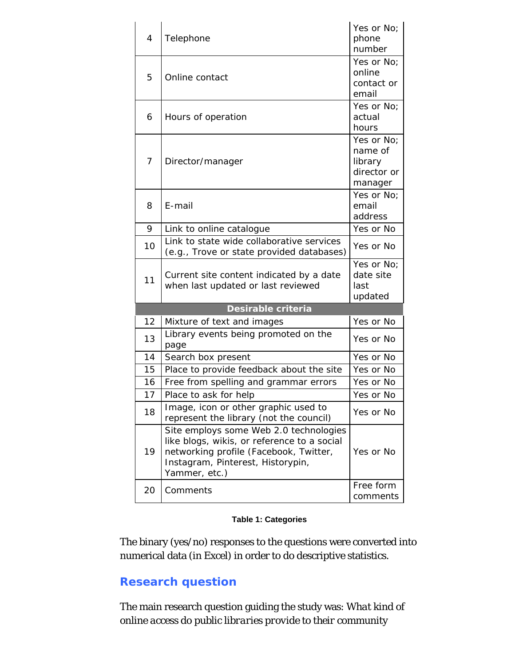| 4  | Telephone                                                                                                                                                                             | Yes or No;<br>phone<br>number                              |
|----|---------------------------------------------------------------------------------------------------------------------------------------------------------------------------------------|------------------------------------------------------------|
| 5  | Online contact                                                                                                                                                                        | Yes or No;<br>online<br>contact or<br>email                |
| 6  | Hours of operation                                                                                                                                                                    | Yes or No;<br>actual<br>hours                              |
| 7  | Director/manager                                                                                                                                                                      | Yes or No:<br>name of<br>library<br>director or<br>manager |
| 8  | E-mail                                                                                                                                                                                | Yes or No;<br>email<br>address                             |
| 9  | Link to online catalogue                                                                                                                                                              | Yes or No                                                  |
| 10 | Link to state wide collaborative services<br>(e.g., Trove or state provided databases)                                                                                                | Yes or No                                                  |
| 11 | Current site content indicated by a date<br>when last updated or last reviewed                                                                                                        | Yes or No;<br>date site<br>last<br>updated                 |
|    | Desirable criteria                                                                                                                                                                    |                                                            |
| 12 | Mixture of text and images                                                                                                                                                            | Yes or No                                                  |
|    |                                                                                                                                                                                       |                                                            |
| 13 | Library events being promoted on the<br>page                                                                                                                                          | Yes or No                                                  |
| 14 | Search box present                                                                                                                                                                    | Yes or No                                                  |
| 15 | Place to provide feedback about the site                                                                                                                                              | Yes or No                                                  |
| 16 | Free from spelling and grammar errors                                                                                                                                                 | Yes or No                                                  |
| 17 | Place to ask for help                                                                                                                                                                 | Yes or No                                                  |
| 18 | Image, icon or other graphic used to<br>represent the library (not the council)                                                                                                       | Yes or No                                                  |
| 19 | Site employs some Web 2.0 technologies<br>like blogs, wikis, or reference to a social<br>networking profile (Facebook, Twitter,<br>Instagram, Pinterest, Historypin,<br>Yammer, etc.) | Yes or No                                                  |

#### **Table 1: Categories**

The binary (yes/no) responses to the questions were converted into numerical data (in Excel) in order to do descriptive statistics.

# **Research question**

The main research question guiding the study was: *What kind of online access do public libraries provide to their community*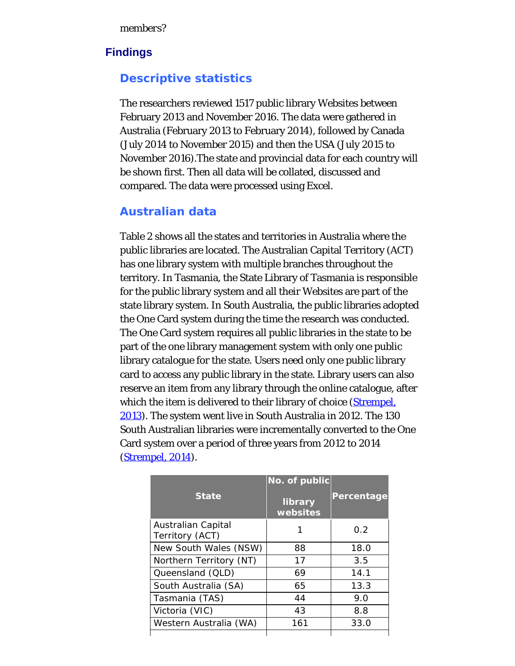# **Findings**

# **Descriptive statistics**

The researchers reviewed 1517 public library Websites between February 2013 and November 2016. The data were gathered in Australia (February 2013 to February 2014), followed by Canada (July 2014 to November 2015) and then the USA (July 2015 to November 2016).The state and provincial data for each country will be shown first. Then all data will be collated, discussed and compared. The data were processed using Excel.

# **Australian data**

Table 2 shows all the states and territories in Australia where the public libraries are located. The Australian Capital Territory (ACT) has one library system with multiple branches throughout the territory. In Tasmania, the State Library of Tasmania is responsible for the public library system and all their Websites are part of the state library system. In South Australia, the public libraries adopted the One Card system during the time the research was conducted. The One Card system requires all public libraries in the state to be part of the one library management system with only one public library catalogue for the state. Users need only one public library card to access any public library in the state. Library users can also reserve an item from any library through the online catalogue, after which the item is delivered to their library of choice [\(Strempel,](#page-22-0) [2013](#page-22-0)). The system went live in South Australia in 2012. The 130 South Australian libraries were incrementally converted to the One Card system over a period of three years from 2012 to 2014 ([Strempel, 2014\)](#page-22-0).

|                                       | No. of public       |            |
|---------------------------------------|---------------------|------------|
| <b>State</b>                          | library<br>websites | Percentage |
| Australian Capital<br>Territory (ACT) |                     | 0.2        |
| New South Wales (NSW)                 | 88                  | 18.0       |
| Northern Territory (NT)               | 17                  | 3.5        |
| Queensland (QLD)                      | 69                  | 14.1       |
| South Australia (SA)                  | 65                  | 13.3       |
| Tasmania (TAS)                        | 44                  | 9.0        |
| Victoria (VIC)                        | 43                  | 8.8        |
| Western Australia (WA)                | 161                 | 33.0       |
|                                       |                     |            |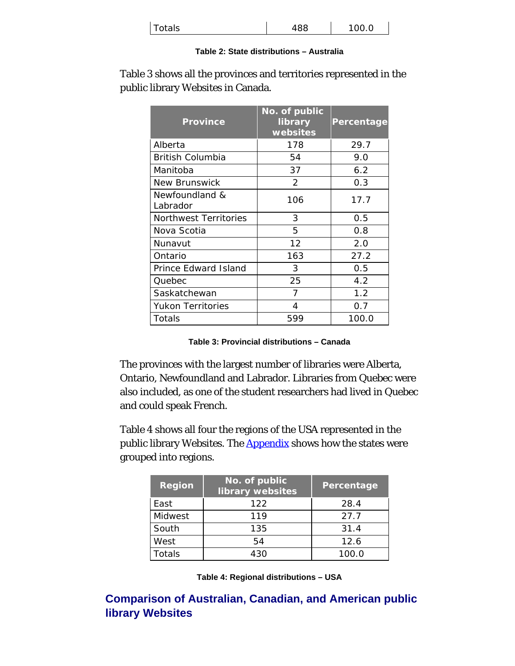| $T$ otals<br>ററ<br>◡ |
|----------------------|
|----------------------|

#### **Table 2: State distributions – Australia**

| <b>Province</b>            | No. of public<br>library<br>websites | Percentage |
|----------------------------|--------------------------------------|------------|
| Alberta                    | 178                                  | 29.7       |
| British Columbia           | 54                                   | 9.0        |
| Manitoba                   | 37                                   | 6.2        |
| New Brunswick              | $\mathcal{P}$                        | 0.3        |
| Newfoundland &<br>Labrador | 106                                  | 17.7       |
| Northwest Territories      | 3                                    | 0.5        |
| Nova Scotia                | 5                                    | 0.8        |
| Nunavut                    | 12                                   | 2.0        |
| Ontario                    | 163                                  | 27.2       |
| Prince Edward Island       | 3                                    | 0.5        |
| Quebec                     | 25                                   | 4.2        |
| Saskatchewan               | 7                                    | 1.2        |
| Yukon Territories          | 4                                    | 0.7        |
| Totals                     | 599                                  | 100.0      |

Table 3 shows all the provinces and territories represented in the public library Websites in Canada.

|  |  | Table 3: Provincial distributions - Canada |  |
|--|--|--------------------------------------------|--|
|--|--|--------------------------------------------|--|

The provinces with the largest number of libraries were Alberta, Ontario, Newfoundland and Labrador. Libraries from Quebec were also included, as one of the student researchers had lived in Quebec and could speak French.

Table 4 shows all four the regions of the USA represented in the public library Websites. The [Appendix](#page-22-4) shows how the states were grouped into regions.

| <b>Region</b> | No. of public<br>library websites | Percentage |
|---------------|-----------------------------------|------------|
| East          | 122                               | 28.4       |
| Midwest       | 119                               | 27.7       |
| South         | 135                               | 31.4       |
| West          | 54                                | 12.6       |
| Totals        | 430                               | 100.0      |

**Table 4: Regional distributions – USA**

**Comparison of Australian, Canadian, and American public library Websites**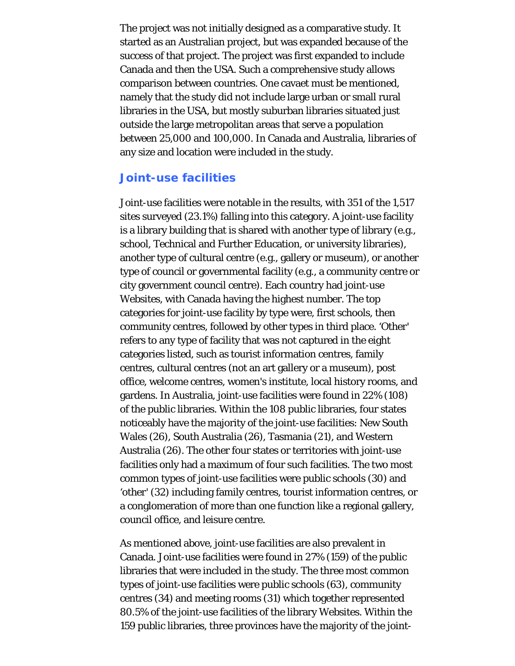The project was not initially designed as a comparative study. It started as an Australian project, but was expanded because of the success of that project. The project was first expanded to include Canada and then the USA. Such a comprehensive study allows comparison between countries. One cavaet must be mentioned, namely that the study did not include large urban or small rural libraries in the USA, but mostly suburban libraries situated just outside the large metropolitan areas that serve a population between 25,000 and 100,000. In Canada and Australia, libraries of any size and location were included in the study.

#### **Joint-use facilities**

Joint-use facilities were notable in the results, with 351 of the 1,517 sites surveyed (23.1%) falling into this category. A joint-use facility is a library building that is shared with another type of library (e.g., school, Technical and Further Education, or university libraries), another type of cultural centre (e.g., gallery or museum), or another type of council or governmental facility (e.g., a community centre or city government council centre). Each country had joint-use Websites, with Canada having the highest number. The top categories for joint-use facility by type were, first schools, then community centres, followed by other types in third place. '*Other*' refers to any type of facility that was not captured in the eight categories listed, such as tourist information centres, family centres, cultural centres (not an art gallery or a museum), post office, welcome centres, women's institute, local history rooms, and gardens. In Australia, joint-use facilities were found in 22% (108) of the public libraries. Within the 108 public libraries, four states noticeably have the majority of the joint-use facilities: New South Wales (26), South Australia (26), Tasmania (21), and Western Australia (26). The other four states or territories with joint-use facilities only had a maximum of four such facilities. The two most common types of joint-use facilities were public schools (30) and '*other*' (32) including family centres, tourist information centres, or a conglomeration of more than one function like a regional gallery, council office, and leisure centre.

As mentioned above, joint-use facilities are also prevalent in Canada. Joint-use facilities were found in 27% (159) of the public libraries that were included in the study. The three most common types of joint-use facilities were public schools (63), community centres (34) and meeting rooms (31) which together represented 80.5% of the joint-use facilities of the library Websites. Within the 159 public libraries, three provinces have the majority of the joint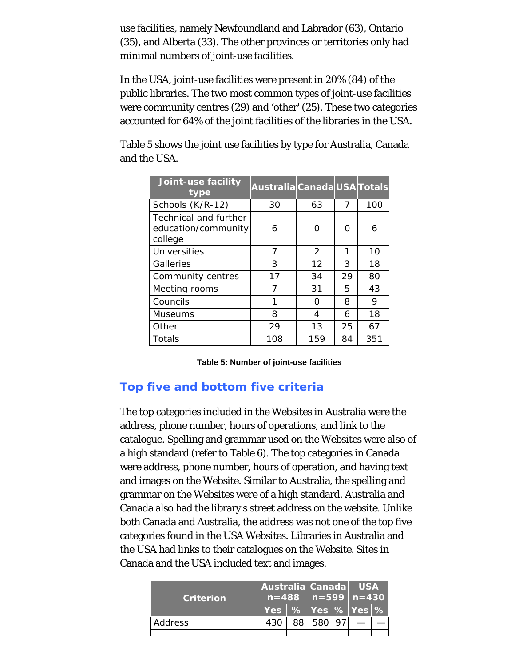use facilities, namely Newfoundland and Labrador (63), Ontario (35), and Alberta (33). The other provinces or territories only had minimal numbers of joint-use facilities.

In the USA, joint-use facilities were present in 20% (84) of the public libraries. The two most common types of joint-use facilities were community centres (29) and 'other' (25). These two categories accounted for 64% of the joint facilities of the libraries in the USA.

| Joint-use facility<br>type                              | Australia Canada USA Totals |               |    |     |
|---------------------------------------------------------|-----------------------------|---------------|----|-----|
| Schools (K/R-12)                                        | 30                          | 63            | 7  | 100 |
| Technical and further<br>education/community<br>college | 6                           | Ω             | O  | 6   |
| <b>Universities</b>                                     | 7                           | $\mathcal{P}$ | 1  | 10  |
| Galleries                                               | 3                           | 12            | 3  | 18  |
| Community centres                                       | 17                          | 34            | 29 | 80  |
| Meeting rooms                                           | 7                           | 31            | 5. | 43  |
| Councils                                                | 1                           | ∩             | 8  | 9   |
| <b>Museums</b>                                          | 8                           | 4             | 6  | 18  |
| Other                                                   | 29                          | 13            | 25 | 67  |
| Totals                                                  | 108                         | 159           | 84 | 351 |

Table 5 shows the joint use facilities by type for Australia, Canada and the USA.

**Table 5: Number of joint-use facilities**

# **Top five and bottom five criteria**

The top categories included in the Websites in Australia were the address, phone number, hours of operations, and link to the catalogue. Spelling and grammar used on the Websites were also of a high standard (refer to Table 6). The top categories in Canada were address, phone number, hours of operation, and having text and images on the Website. Similar to Australia, the spelling and grammar on the Websites were of a high standard. Australia and Canada also had the library's street address on the website. Unlike both Canada and Australia, the address was not one of the top five categories found in the USA Websites. Libraries in Australia and the USA had links to their catalogues on the Website. Sites in Canada and the USA included text and images.

| <b>Criterion</b> |                                                         |           | Australia Canada   USA<br>$n = 488$   $n = 599$   $n = 430$ |  |  |
|------------------|---------------------------------------------------------|-----------|-------------------------------------------------------------|--|--|
|                  | $\sqrt{2}$ Yes $\sqrt{8}$ Yes $\sqrt{8}$ Yes $\sqrt{8}$ |           |                                                             |  |  |
| Address          | 430                                                     | 88 580 97 |                                                             |  |  |
|                  |                                                         |           |                                                             |  |  |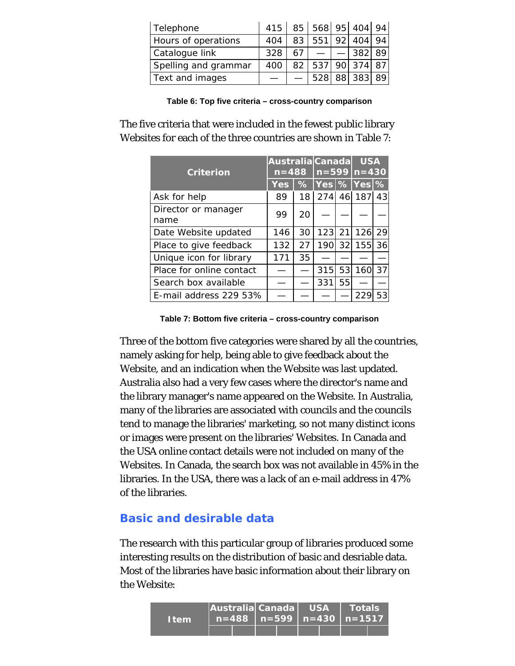| Telephone            |     |    | 415 85 568 95 404 94 |            |  |
|----------------------|-----|----|----------------------|------------|--|
| Hours of operations  | 404 | 83 | 551                  | $92$   404 |  |
| Catalogue link       | 328 |    |                      | 382        |  |
| Spelling and grammar | 400 | 82 |                      | 537 90 374 |  |
| Text and images      |     |    | 528                  | 88 383     |  |

**Table 6: Top five criteria – cross-country comparison**

The five criteria that were included in the fewest public library Websites for each of the three countries are shown in Table 7:

|                          |            |                 | Australia Canada<br>$n = 599$ $n = 430$ |    | <b>USA</b> |    |
|--------------------------|------------|-----------------|-----------------------------------------|----|------------|----|
| <b>Criterion</b>         | $n = 488$  |                 |                                         |    |            |    |
|                          | <b>Yes</b> |                 | $\%$ Yes % Yes %                        |    |            |    |
| Ask for help             | 89         | 18 <sup>1</sup> |                                         |    | 274 46 187 | 43 |
| Director or manager      | 99         | 20              |                                         |    |            |    |
| name                     |            |                 |                                         |    |            |    |
| Date Website updated     | 146        | 30              | 123                                     | 21 | 126 29     |    |
| Place to give feedback   | 132        | 27              | 190                                     | 32 | 155 36     |    |
| Unique icon for library  | 171        | 35              |                                         |    |            |    |
| Place for online contact |            |                 | 315                                     | 53 | 160        | 37 |
| Search box available     |            |                 | 331                                     | 55 |            |    |
| E-mail address 229 53%   |            |                 |                                         |    | 229        | 53 |

**Table 7: Bottom five criteria – cross-country comparison**

Three of the bottom five categories were shared by all the countries, namely asking for help, being able to give feedback about the Website, and an indication when the Website was last updated. Australia also had a very few cases where the director's name and the library manager's name appeared on the Website. In Australia, many of the libraries are associated with councils and the councils tend to manage the libraries' marketing, so not many distinct icons or images were present on the libraries' Websites. In Canada and the USA online contact details were not included on many of the Websites. In Canada, the search box was not available in 45% in the libraries. In the USA, there was a lack of an e-mail address in 47% of the libraries.

# **Basic and desirable data**

The research with this particular group of libraries produced some interesting results on the distribution of basic and desriable data. Most of the libraries have basic information about their library on the Website:

| <b>Item</b> | Australia Canada   USA |  |  | $\blacksquare$ Totals'<br>$n=488$   n=599   n=430   n=1517 |  |
|-------------|------------------------|--|--|------------------------------------------------------------|--|
|             |                        |  |  |                                                            |  |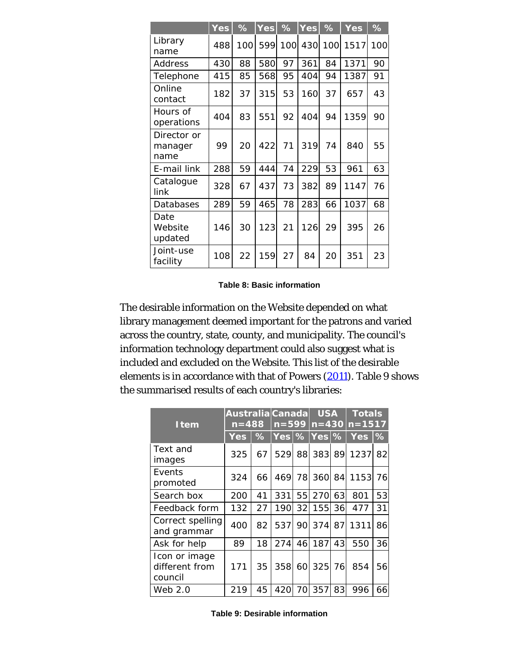|                                | Yes | $\%$ | <b>Yes</b> | $\frac{1}{6}$ | <b>Yes</b> | $\%$ | <b>Yes</b> | %   |
|--------------------------------|-----|------|------------|---------------|------------|------|------------|-----|
| Library<br>name                | 488 | 100  | 599        | 100           | 430        |      | 100 1517   | 100 |
| Address                        | 430 | 88   | 580        | 97            | 361        | 84   | 1371       | 90  |
| Telephone                      | 415 | 85   | 568        | 95            | 404        | 94   | 1387       | 91  |
| Online<br>contact              | 182 | 37   | 315        | 53            | 160        | 37   | 657        | 43  |
| Hours of<br>operations         | 404 | 83   | 551        | 92            | 404        | 94   | 1359       | 90  |
| Director or<br>manager<br>name | 99  | 20   | 422        | 71            | 319        | 74   | 840        | 55  |
| E-mail link                    | 288 | 59   | 444        | 74            | 229        | 53   | 961        | 63  |
| Catalogue<br>link              | 328 | 67   | 437        | 73            | 382        | 89   | 1147       | 76  |
| Databases                      | 289 | 59   | 465        | 78            | 283        | 66   | 1037       | 68  |
| Date<br>Website<br>updated     | 146 | 30   | 123        | 21            | 126        | 29   | 395        | 26  |
| Joint-use<br>facility          | 108 | 22   | 159        | 27            | 84         | 20   | 351        | 23  |

**Table 8: Basic information**

The desirable information on the Website depended on what library management deemed important for the patrons and varied across the country, state, county, and municipality. The council's information technology department could also suggest what is included and excluded on the Website. This list of the desirable elements is in accordance with that of Powers [\(2011](#page-22-0)). Table 9 shows the summarised results of each country's libraries:

| <b>Item</b>                                | Australia Canada<br>$n = 488$ |               | $n = 599$           |                 | <b>USA</b> |    | <b>Totals</b><br>$n = 430 \ln 1517$ |               |
|--------------------------------------------|-------------------------------|---------------|---------------------|-----------------|------------|----|-------------------------------------|---------------|
|                                            | <b>Yes</b>                    | $\frac{9}{6}$ | $Yes$ $\%$ Yes $\%$ |                 |            |    | <b>Yes</b>                          | $\frac{9}{6}$ |
| Text and<br>images                         | 325                           | 67            | 529                 |                 |            |    | 88 383 89 1237                      | 82            |
| Events<br>promoted                         | 324                           | 66            | 4691                | 78              | 360 84     |    | 1153                                | 76            |
| Search box                                 | 200                           | 41            | 331                 | 55              | 270        | 63 | 801                                 | 53            |
| Feedback form                              | 132                           | 27            | 190                 | 32 <sub>l</sub> | 155        | 36 | 477                                 | 31            |
| Correct spelling<br>and grammar            | 400                           | 82            | 537                 | 901             | 374        | 87 | 1311                                | 86            |
| Ask for help                               | 89                            | 18            | 274                 | 46              | 187        | 43 | 550                                 | 36            |
| Icon or image<br>different from<br>council | 171                           | 35            | 358                 |                 | 60 325 76  |    | 854                                 | 56            |
| Web 2.0                                    | 219                           | 45            | 420                 | 70              | 357        | 83 | 996                                 | 66            |

**Table 9: Desirable information**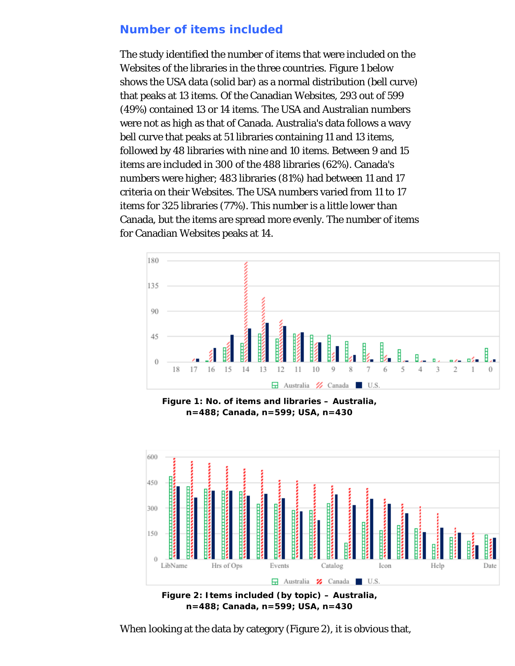### **Number of items included**

The study identified the number of items that were included on the Websites of the libraries in the three countries. Figure 1 below shows the USA data (solid bar) as a normal distribution (bell curve) that peaks at 13 items. Of the Canadian Websites, 293 out of 599 (49%) contained 13 or 14 items. The USA and Australian numbers were not as high as that of Canada. Australia's data follows a wavy bell curve that peaks at 51 libraries containing 11 and 13 items, followed by 48 libraries with nine and 10 items. Between 9 and 15 items are included in 300 of the 488 libraries (62%). Canada's numbers were higher; 483 libraries (81%) had between 11 and 17 criteria on their Websites. The USA numbers varied from 11 to 17 items for 325 libraries (77%). This number is a little lower than Canada, but the items are spread more evenly. The number of items for Canadian Websites peaks at 14.



**Figure 1: No. of items and libraries – Australia, n=488; Canada, n=599; USA, n=430**



**n=488; Canada, n=599; USA, n=430**

When looking at the data by category (Figure 2), it is obvious that,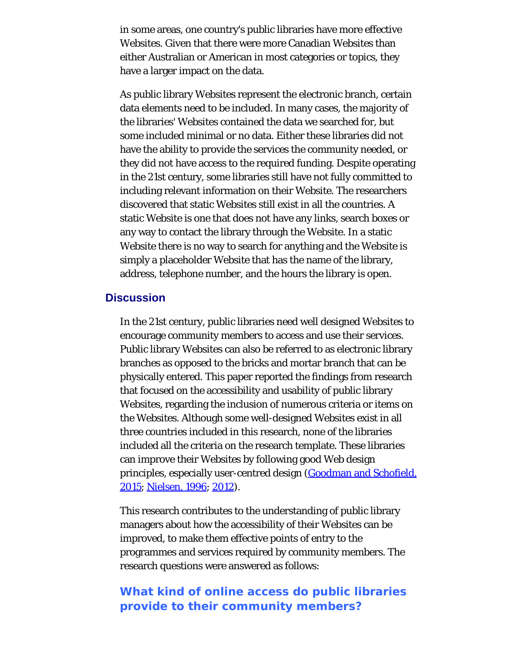in some areas, one country's public libraries have more effective Websites. Given that there were more Canadian Websites than either Australian or American in most categories or topics, they have a larger impact on the data.

As public library Websites represent the electronic branch, certain data elements need to be included. In many cases, the majority of the libraries' Websites contained the data we searched for, but some included minimal or no data. Either these libraries did not have the ability to provide the services the community needed, or they did not have access to the required funding. Despite operating in the 21st century, some libraries still have not fully committed to including relevant information on their Website. The researchers discovered that static Websites still exist in all the countries. A static Website is one that does not have any links, search boxes or any way to contact the library through the Website. In a static Website there is no way to search for anything and the Website is simply a placeholder Website that has the name of the library, address, telephone number, and the hours the library is open.

### **Discussion**

In the 21st century, public libraries need well designed Websites to encourage community members to access and use their services. Public library Websites can also be referred to as electronic library branches as opposed to the bricks and mortar branch that can be physically entered. This paper reported the findings from research that focused on the accessibility and usability of public library Websites, regarding the inclusion of numerous criteria or items on the Websites. Although some well-designed Websites exist in all three countries included in this research, none of the libraries included all the criteria on the research template. These libraries can improve their Websites by following good Web design principles, especially user-centred design [\(Goodman and Schofield,](#page-22-0) [2015](#page-22-0); [Nielsen, 1996](#page-22-0); [2012](#page-22-0)).

This research contributes to the understanding of public library managers about how the accessibility of their Websites can be improved, to make them effective points of entry to the programmes and services required by community members. The research questions were answered as follows:

# **What kind of online access do public libraries provide to their community members?**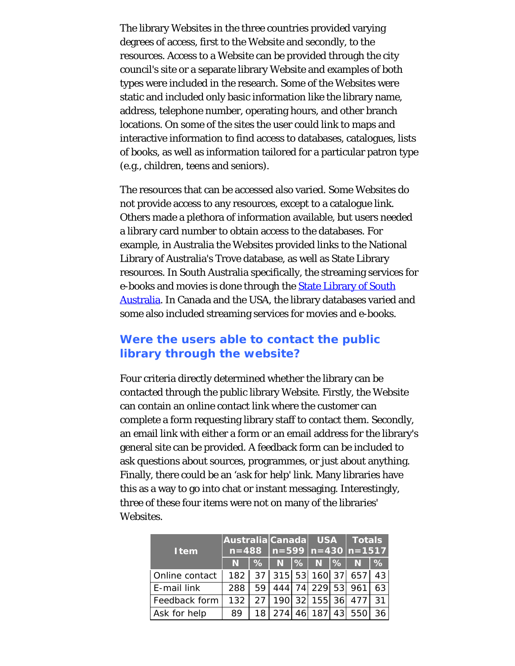The library Websites in the three countries provided varying degrees of access, first to the Website and secondly, to the resources. Access to a Website can be provided through the city council's site or a separate library Website and examples of both types were included in the research. Some of the Websites were static and included only basic information like the library name, address, telephone number, operating hours, and other branch locations. On some of the sites the user could link to maps and interactive information to find access to databases, catalogues, lists of books, as well as information tailored for a particular patron type (e.g., children, teens and seniors).

The resources that can be accessed also varied. Some Websites do not provide access to any resources, except to a catalogue link. Others made a plethora of information available, but users needed a library card number to obtain access to the databases. For example, in Australia the Websites provided links to the National Library of Australia's Trove database, as well as State Library resources. In South Australia specifically, the streaming services for e-books and movies is done through the **State Library of South** [Australia](http://www.webcitation.org/6wViQEgUM). In Canada and the USA, the library databases varied and some also included streaming services for movies and e-books.

### **Were the users able to contact the public library through the website?**

Four criteria directly determined whether the library can be contacted through the public library Website. Firstly, the Website can contain an online contact link where the customer can complete a form requesting library staff to contact them. Secondly, an email link with either a form or an email address for the library's general site can be provided. A feedback form can be included to ask questions about sources, programmes, or just about anything. Finally, there could be an '*ask for help*' link. Many libraries have this as a way to go into chat or instant messaging. Interestingly, three of these four items were not on many of the libraries' Websites.

|                | Australia Canada USA Totals |      |               |        |    |                                      |      |
|----------------|-----------------------------|------|---------------|--------|----|--------------------------------------|------|
| <b>Item</b>    |                             |      |               |        |    | $n=488$   n=599   n=430   n=1517     |      |
|                | N.                          |      | %  N  %  N  % |        |    | N.                                   | $\%$ |
| Online contact |                             |      |               |        |    | 182   37   315   53   160   37   657 | 43   |
| E-mail link    | 288                         | 59 I |               |        |    | 444 74 229 53 961                    | 63   |
| Feedback form  | 132                         |      |               |        |    | 27   190   32   155   36   477       | 31   |
| Ask for help   | 89                          | 18   | 274           | 46 187 | 43 | 550                                  | 36.  |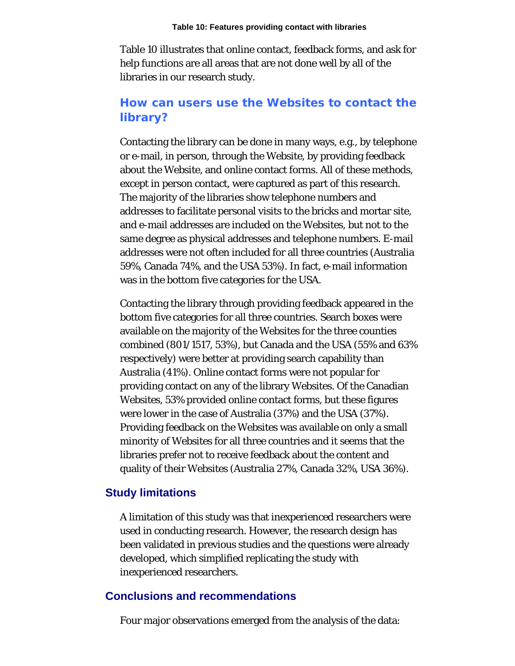Table 10 illustrates that online contact, feedback forms, and ask for help functions are all areas that are not done well by all of the libraries in our research study.

# **How can users use the Websites to contact the library?**

Contacting the library can be done in many ways, e.g., by telephone or e-mail, in person, through the Website, by providing feedback about the Website, and online contact forms. All of these methods, except in person contact, were captured as part of this research. The majority of the libraries show telephone numbers and addresses to facilitate personal visits to the bricks and mortar site, and e-mail addresses are included on the Websites, but not to the same degree as physical addresses and telephone numbers. E-mail addresses were not often included for all three countries (Australia 59%, Canada 74%, and the USA 53%). In fact, e-mail information was in the bottom five categories for the USA.

Contacting the library through providing feedback appeared in the bottom five categories for all three countries. Search boxes were available on the majority of the Websites for the three counties combined (801/1517, 53%), but Canada and the USA (55% and 63% respectively) were better at providing search capability than Australia (41%). Online contact forms were not popular for providing contact on any of the library Websites. Of the Canadian Websites, 53% provided online contact forms, but these figures were lower in the case of Australia (37%) and the USA (37%). Providing feedback on the Websites was available on only a small minority of Websites for all three countries and it seems that the libraries prefer not to receive feedback about the content and quality of their Websites (Australia 27%, Canada 32%, USA 36%).

#### **Study limitations**

A limitation of this study was that inexperienced researchers were used in conducting research. However, the research design has been validated in previous studies and the questions were already developed, which simplified replicating the study with inexperienced researchers.

#### **Conclusions and recommendations**

Four major observations emerged from the analysis of the data: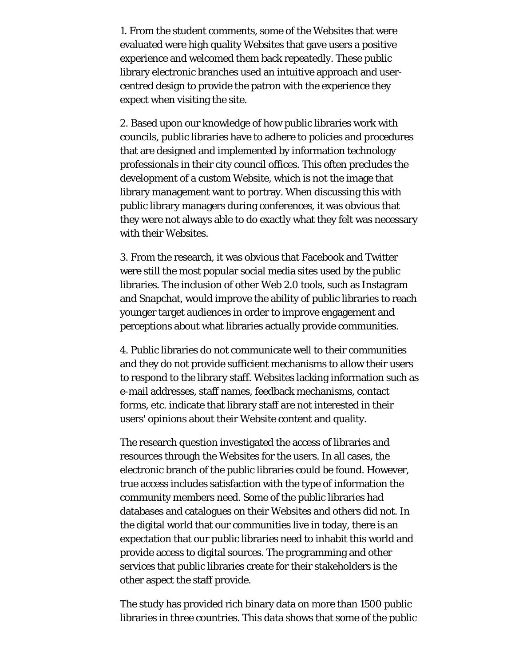1. From the student comments, some of the Websites that were evaluated were high quality Websites that gave users a positive experience and welcomed them back repeatedly. These public library electronic branches used an intuitive approach and usercentred design to provide the patron with the experience they expect when visiting the site.

2. Based upon our knowledge of how public libraries work with councils, public libraries have to adhere to policies and procedures that are designed and implemented by information technology professionals in their city council offices. This often precludes the development of a custom Website, which is not the image that library management want to portray. When discussing this with public library managers during conferences, it was obvious that they were not always able to do exactly what they felt was necessary with their Websites.

3. From the research, it was obvious that Facebook and Twitter were still the most popular social media sites used by the public libraries. The inclusion of other Web 2.0 tools, such as Instagram and Snapchat, would improve the ability of public libraries to reach younger target audiences in order to improve engagement and perceptions about what libraries actually provide communities.

4. Public libraries do not communicate well to their communities and they do not provide sufficient mechanisms to allow their users to respond to the library staff. Websites lacking information such as e-mail addresses, staff names, feedback mechanisms, contact forms, etc. indicate that library staff are not interested in their users' opinions about their Website content and quality.

The research question investigated the access of libraries and resources through the Websites for the users. In all cases, the electronic branch of the public libraries could be found. However, true access includes satisfaction with the type of information the community members need. Some of the public libraries had databases and catalogues on their Websites and others did not. In the digital world that our communities live in today, there is an expectation that our public libraries need to inhabit this world and provide access to digital sources. The programming and other services that public libraries create for their stakeholders is the other aspect the staff provide.

The study has provided rich binary data on more than 1500 public libraries in three countries. This data shows that some of the public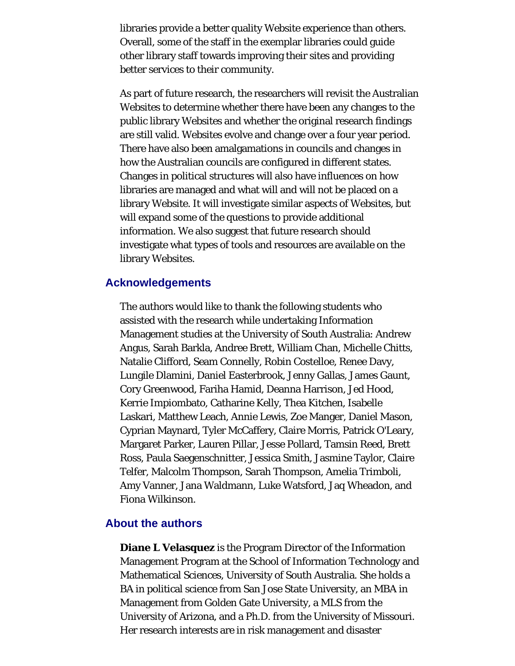libraries provide a better quality Website experience than others. Overall, some of the staff in the exemplar libraries could guide other library staff towards improving their sites and providing better services to their community.

As part of future research, the researchers will revisit the Australian Websites to determine whether there have been any changes to the public library Websites and whether the original research findings are still valid. Websites evolve and change over a four year period. There have also been amalgamations in councils and changes in how the Australian councils are configured in different states. Changes in political structures will also have influences on how libraries are managed and what will and will not be placed on a library Website. It will investigate similar aspects of Websites, but will expand some of the questions to provide additional information. We also suggest that future research should investigate what types of tools and resources are available on the library Websites.

#### **Acknowledgements**

The authors would like to thank the following students who assisted with the research while undertaking Information Management studies at the University of South Australia: Andrew Angus, Sarah Barkla, Andree Brett, William Chan, Michelle Chitts, Natalie Clifford, Seam Connelly, Robin Costelloe, Renee Davy, Lungile Dlamini, Daniel Easterbrook, Jenny Gallas, James Gaunt, Cory Greenwood, Fariha Hamid, Deanna Harrison, Jed Hood, Kerrie Impiombato, Catharine Kelly, Thea Kitchen, Isabelle Laskari, Matthew Leach, Annie Lewis, Zoe Manger, Daniel Mason, Cyprian Maynard, Tyler McCaffery, Claire Morris, Patrick O'Leary, Margaret Parker, Lauren Pillar, Jesse Pollard, Tamsin Reed, Brett Ross, Paula Saegenschnitter, Jessica Smith, Jasmine Taylor, Claire Telfer, Malcolm Thompson, Sarah Thompson, Amelia Trimboli, Amy Vanner, Jana Waldmann, Luke Watsford, Jaq Wheadon, and Fiona Wilkinson.

#### <span id="page-19-0"></span>**About the authors**

**Diane L Velasquez** is the Program Director of the Information Management Program at the School of Information Technology and Mathematical Sciences, University of South Australia. She holds a BA in political science from San Jose State University, an MBA in Management from Golden Gate University, a MLS from the University of Arizona, and a Ph.D. from the University of Missouri. Her research interests are in risk management and disaster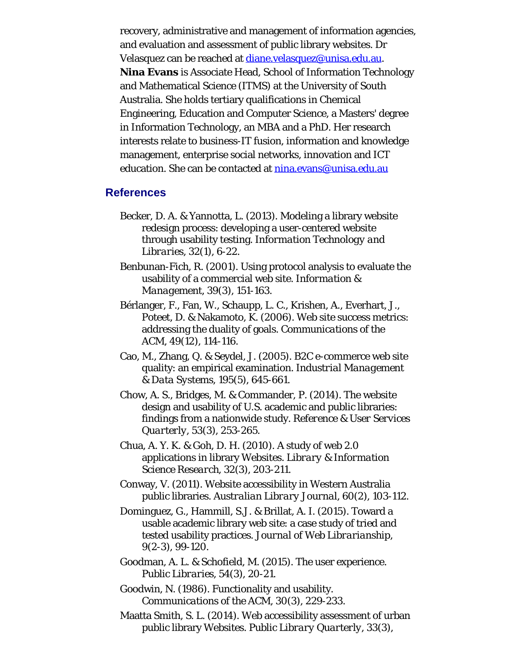recovery, administrative and management of information agencies, and evaluation and assessment of public library websites. Dr Velasquez can be reached at [diane.velasquez@unisa.edu.au](mailto:diane.velasquez@unisa.edu.au). **Nina Evans** is Associate Head, School of Information Technology and Mathematical Science (ITMS) at the University of South Australia. She holds tertiary qualifications in Chemical Engineering, Education and Computer Science, a Masters' degree in Information Technology, an MBA and a PhD. Her research interests relate to business-IT fusion, information and knowledge management, enterprise social networks, innovation and ICT education. She can be contacted at [nina.evans@unisa.edu.au](mailto:nina.evans@unisa.edu.au)

#### **References**

- Becker, D. A. & Yannotta, L. (2013). Modeling a library website redesign process: developing a user-centered website through usability testing. *Information Technology and Libraries, 32*(1), 6-22.
- Benbunan-Fich, R. (2001). Using protocol analysis to evaluate the usability of a commercial web site. *Information & Management, 39*(3), 151-163.
- Bérlanger, F., Fan, W., Schaupp, L. C., Krishen, A., Everhart, J., Poteet, D. & Nakamoto, K. (2006). Web site success metrics: addressing the duality of goals. *Communications of the ACM, 49*(12), 114-116.
- Cao, M., Zhang, Q. & Seydel, J. (2005). B2C e-commerce web site quality: an empirical examination. *Industrial Management & Data Systems, 195*(5), 645-661.
- Chow, A. S., Bridges, M. & Commander, P. (2014). The website design and usability of U.S. academic and public libraries: findings from a nationwide study. *Reference & User Services Quarterly, 53*(3), 253-265.
- Chua, A. Y. K. & Goh, D. H. (2010). A study of web 2.0 applications in library Websites. *Library & Information Science Research, 32*(3), 203-211.
- Conway, V. (2011). Website accessibility in Western Australia public libraries. *Australian Library Journal, 60*(2), 103-112.
- Dominguez, G., Hammill, S.J. & Brillat, A. I. (2015). Toward a usable academic library web site: a case study of tried and tested usability practices. *Journal of Web Librarianship, 9*(2-3), 99-120.
- Goodman, A. L. & Schofield, M. (2015). The user experience. *Public Libraries, 54*(3), 20-21.
- Goodwin, N. (1986). Functionality and usability. *Communications of the ACM, 30*(3), 229-233.
- Maatta Smith, S. L. (2014). Web accessibility assessment of urban public library Websites. *Public Library Quarterly, 33*(3),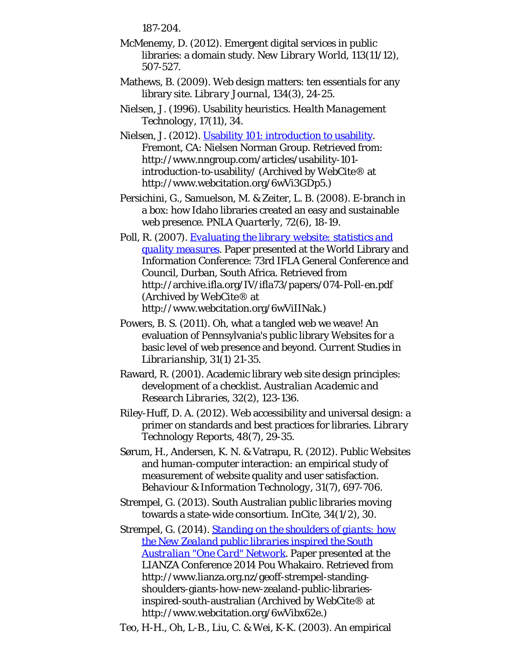187-204.

- McMenemy, D. (2012). Emergent digital services in public libraries: a domain study. *New Library World, 113*(11/12), 507-527.
- Mathews, B. (2009). Web design matters: ten essentials for any library site. *Library Journal, 134*(3), 24-25.
- Nielsen, J. (1996). Usability heuristics. *Health Management Technology, 17*(11), 34.
- Nielsen, J. (2012). [Usability 101: introduction to usability](http://www.webcitation.org/6wVi3GDp5). Fremont, CA: Nielsen Norman Group. Retrieved from: http://www.nngroup.com/articles/usability-101 introduction-to-usability/ (Archived by WebCite® at http://www.webcitation.org/6wVi3GDp5.)
- Persichini, G., Samuelson, M. & Zeiter, L. B. (2008). E-branch in a box: how Idaho libraries created an easy and sustainable web presence. *PNLA Quarterly, 72*(6), 18-19.
- Poll, R. (2007). *[Evaluating the library website: statistics and](http://www.webcitation.org/6wViIINak) [quality measures](http://www.webcitation.org/6wViIINak)*. Paper presented at the World Library and Information Conference: 73rd IFLA General Conference and Council, Durban, South Africa. Retrieved from http://archive.ifla.org/IV/ifla73/papers/074-Poll-en.pdf (Archived by WebCite® at http://www.webcitation.org/6wViIINak.)
- Powers, B. S. (2011). Oh, what a tangled web we weave! An evaluation of Pennsylvania's public library Websites for a basic level of web presence and beyond. *Current Studies in Librarianship, 31*(1) 21-35.
- Raward, R. (2001). Academic library web site design principles: development of a checklist. *Australian Academic and Research Libraries, 32*(2), 123-136.
- Riley-Huff, D. A. (2012). Web accessibility and universal design: a primer on standards and best practices for libraries. *Library Technology Reports, 48*(7), 29-35.
- Sørum, H., Andersen, K. N. & Vatrapu, R. (2012). Public Websites and human-computer interaction: an empirical study of measurement of website quality and user satisfaction. *Behaviour & Information Technology, 31*(7), 697-706.
- Strempel, G. (2013). South Australian public libraries moving towards a state-wide consortium. *InCite, 34*(1/2), 30.
- Strempel, G. (2014). *[Standing on the shoulders of giants: how](http://www.webcitation.org/6wVibx62e) [the New Zealand public libraries inspired the South](http://www.webcitation.org/6wVibx62e) [Australian "One Card" Network](http://www.webcitation.org/6wVibx62e)*. Paper presented at the LIANZA Conference 2014 Pou Whakairo. Retrieved from http://www.lianza.org.nz/geoff-strempel-standingshoulders-giants-how-new-zealand-public-librariesinspired-south-australian (Archived by WebCite® at http://www.webcitation.org/6wVibx62e.)
- Teo, H-H., Oh, L-B., Liu, C. & Wei, K-K. (2003). An empirical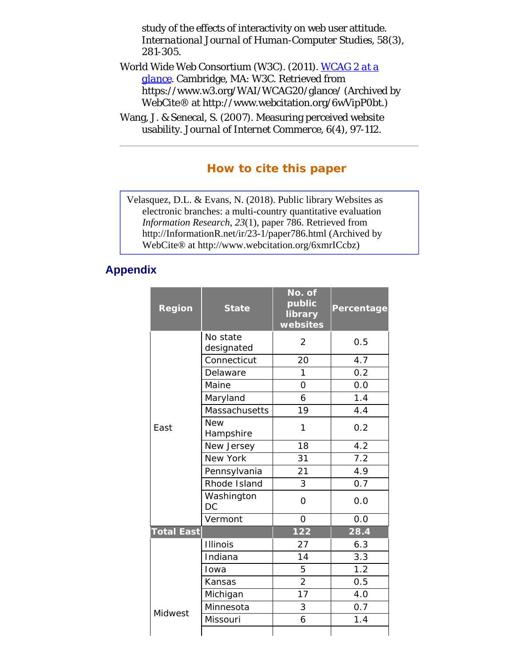<span id="page-22-0"></span>study of the effects of interactivity on web user attitude. *International Journal of Human-Computer Studies, 58*(3), 281-305.

- <span id="page-22-3"></span><span id="page-22-1"></span>World Wide Web Consortium (W3C). (2011). *[WCAG 2 at a](http://www.webcitation.org/6wVipP0bt) [glance](http://www.webcitation.org/6wVipP0bt)*. Cambridge, MA: W3C. Retrieved from https://www.w3.org/WAI/WCAG20/glance/ (Archived by WebCite® at http://www.webcitation.org/6wVipP0bt.)
- <span id="page-22-2"></span>Wang, J. & Senecal, S. (2007). Measuring perceived website usability. *Journal of Internet Commerce, 6*(4), 97-112.

### **How to cite this paper**

Velasquez, D.L. & Evans, N. (2018). Public library Websites as electronic branches: a multi-country quantitative evaluation *Information Research, 23*(1), paper 786. Retrieved from http://InformationR.net/ir/23-1/paper786.html (Archived by WebCite® at http://www.webcitation.org/6xmrICcbz)

#### <span id="page-22-4"></span>**Appendix**

| <b>Region</b>     | <b>State</b>            | No. of<br>public<br>library<br>websites | <b>Percentage</b> |
|-------------------|-------------------------|-----------------------------------------|-------------------|
|                   | No state<br>designated  | $\overline{2}$                          | 0.5               |
|                   | Connecticut             | 20                                      | 4.7               |
|                   | Delaware                | 1                                       | 0.2               |
|                   | Maine                   | 0                                       | 0.0               |
|                   | Maryland                | 6                                       | 1.4               |
|                   | Massachusetts           | 19                                      | 4.4               |
| East              | <b>New</b><br>Hampshire | 1                                       | 0.2               |
|                   | New Jersey              | 18                                      | 4.2               |
|                   | New York                | 31                                      | 7.2               |
|                   | Pennsylvania            | 21                                      | 4.9               |
|                   | Rhode Island            | 3                                       | 0.7               |
|                   | Washington<br>DC        | $\Omega$                                | 0.0               |
|                   | Vermont                 | 0                                       | 0.0               |
| <b>Total East</b> |                         | 122                                     | 28.4              |
|                   | <b>Illinois</b>         | 27                                      | 6.3               |
|                   | Indiana                 | 14                                      | 3.3               |
|                   | Iowa                    | 5                                       | 1.2               |
|                   | Kansas                  | $\overline{2}$                          | 0.5               |
|                   | Michigan                | 17                                      | 4.0               |
| Midwest           | Minnesota               | 3                                       | 0.7               |
|                   | Missouri                | 6                                       | 1.4               |
|                   |                         |                                         |                   |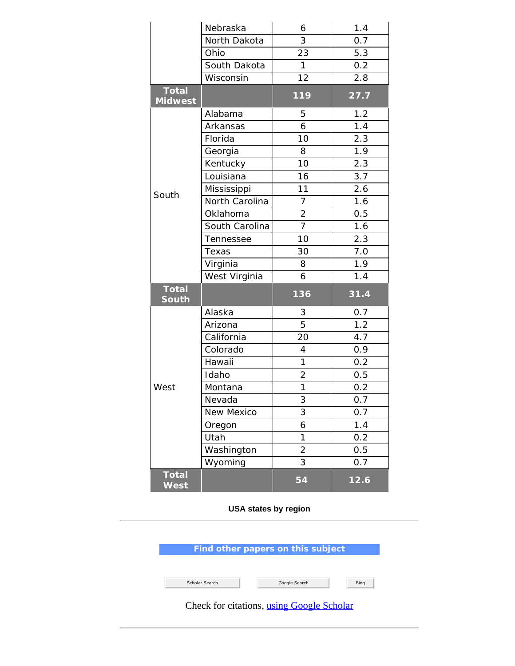|                                | Nebraska       | 6              | 1.4  |
|--------------------------------|----------------|----------------|------|
|                                | North Dakota   | 3              | 0.7  |
|                                | Ohio           | 23             | 5.3  |
|                                | South Dakota   | $\mathbf{1}$   | 0.2  |
|                                | Wisconsin      | 12             | 2.8  |
| <b>Total</b><br><b>Midwest</b> |                | 119            | 27.7 |
|                                | Alabama        | 5              | 1.2  |
|                                | Arkansas       | 6              | 1.4  |
|                                | Florida        | 10             | 2.3  |
|                                | Georgia        | 8              | 1.9  |
|                                | Kentucky       | 10             | 2.3  |
|                                | Louisiana      | 16             | 3.7  |
| South                          | Mississippi    | 11             | 2.6  |
|                                | North Carolina | $\overline{7}$ | 1.6  |
|                                | Oklahoma       | $\frac{2}{7}$  | 0.5  |
|                                | South Carolina |                | 1.6  |
|                                | Tennessee      | 10             | 2.3  |
|                                | Texas          | 30             | 7.0  |
|                                | Virginia       | 8              | 1.9  |
|                                | West Virginia  | 6              | 1.4  |
| <b>Total</b><br><b>South</b>   |                | 136            | 31.4 |
|                                | Alaska         | 3              | 0.7  |
|                                | Arizona        | 5              | 1.2  |
|                                | California     | 20             | 4.7  |
|                                | Colorado       | 4              | 0.9  |
|                                | Hawaii         | 1              | 0.2  |
|                                | Idaho          | $\overline{2}$ | 0.5  |
| West                           | Montana        | $\mathbf 1$    | 0.2  |
|                                | Nevada         | 3              | 0.7  |
|                                | New Mexico     | 3              | 0.7  |
|                                | Oregon         | 6              | 1.4  |
|                                | Utah           | 1              | 0.2  |
|                                | Washington     | 2              | 0.5  |
|                                | Wyoming        | 3              | 0.7  |
|                                |                |                |      |

**USA states by region**

| Find other papers on this subject |  |
|-----------------------------------|--|
|                                   |  |
|                                   |  |
|                                   |  |

Check for citations, [using Google Scholar](http://scholar.google.co.uk/scholar?hl=en&q=http://informationr.net/ir/23-1/paper786.html&btnG=Search&as_sdt=2000)